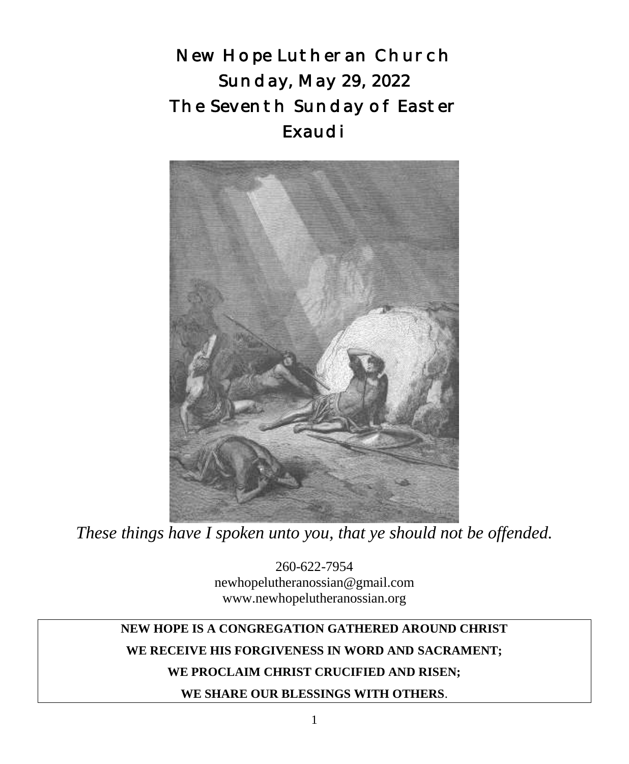New Hope Lutheran Church Sunday, May 29, 2022 The Seventh Sunday of Easter Exaudi



*These things have I spoken unto you, that ye should not be offended.*

260-622-7954 newhopelutheranossian@gmail.com www.newhopelutheranossian.org

# **NEW HOPE IS A CONGREGATION GATHERED AROUND CHRIST WE RECEIVE HIS FORGIVENESS IN WORD AND SACRAMENT;**

## **WE PROCLAIM CHRIST CRUCIFIED AND RISEN;**

**WE SHARE OUR BLESSINGS WITH OTHERS**.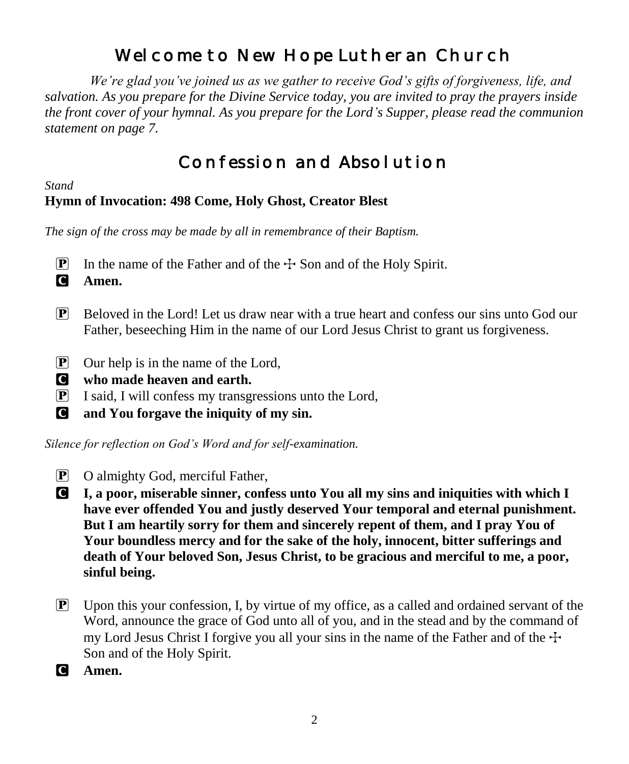# Welcome to New Hope Lutheran Church

 *We're glad you've joined us as we gather to receive God's gifts of forgiveness, life, and salvation. As you prepare for the Divine Service today, you are invited to pray the prayers inside the front cover of your hymnal. As you prepare for the Lord's Supper, please read the communion statement on page 7.*

# Confession and Absolution

## *Stand* **Hymn of Invocation: 498 Come, Holy Ghost, Creator Blest**

*The sign of the cross may be made by all in remembrance of their Baptism.*

**P** In the name of the Father and of the  $\pm$  Son and of the Holy Spirit.

C **Amen.**

- $\mathbb{P}$  Beloved in the Lord! Let us draw near with a true heart and confess our sins unto God our Father, beseeching Him in the name of our Lord Jesus Christ to grant us forgiveness.
- $\boxed{\mathbf{P}}$  Our help is in the name of the Lord,
- C **who made heaven and earth.**
- $\boxed{\mathbf{P}}$  I said, I will confess my transgressions unto the Lord,
- C **and You forgave the iniquity of my sin.**

*Silence for reflection on God's Word and for self-examination.*

- P O almighty God, merciful Father,
- C **I, a poor, miserable sinner, confess unto You all my sins and iniquities with which I have ever offended You and justly deserved Your temporal and eternal punishment. But I am heartily sorry for them and sincerely repent of them, and I pray You of Your boundless mercy and for the sake of the holy, innocent, bitter sufferings and death of Your beloved Son, Jesus Christ, to be gracious and merciful to me, a poor, sinful being.**
- $\mathbb{P}$  Upon this your confession, I, by virtue of my office, as a called and ordained servant of the Word, announce the grace of God unto all of you, and in the stead and by the command of my Lord Jesus Christ I forgive you all your sins in the name of the Father and of the  $\pm$ Son and of the Holy Spirit.

C **Amen.**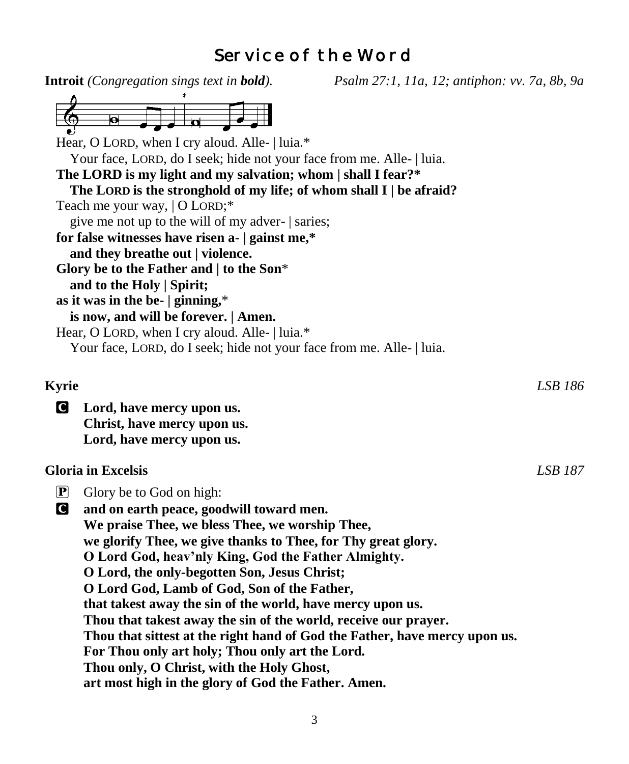# Service of the Word

|                      | <b>Introit</b> (Congregation sings text in <b>bold</b> ).<br>Psalm 27:1, 11a, 12; antiphon: vv. 7a, 8b, 9a |         |
|----------------------|------------------------------------------------------------------------------------------------------------|---------|
|                      |                                                                                                            |         |
|                      |                                                                                                            |         |
|                      |                                                                                                            |         |
|                      | Hear, O LORD, when I cry aloud. Alle-   luia.*                                                             |         |
|                      | Your face, LORD, do I seek; hide not your face from me. Alle-   luia.                                      |         |
|                      | The LORD is my light and my salvation; whom   shall I fear?*                                               |         |
|                      | The LORD is the stronghold of my life; of whom shall I   be afraid?                                        |         |
|                      | Teach me your way,   O LORD;*                                                                              |         |
|                      | give me not up to the will of my adver-   saries;                                                          |         |
|                      | for false witnesses have risen a-   gainst me,*                                                            |         |
|                      | and they breathe out   violence.                                                                           |         |
|                      | Glory be to the Father and   to the Son*                                                                   |         |
|                      | and to the Holy   Spirit;                                                                                  |         |
|                      | as it was in the be- $ $ ginning,*                                                                         |         |
|                      | is now, and will be forever.   Amen.                                                                       |         |
|                      | Hear, O LORD, when I cry aloud. Alle-   luia.*                                                             |         |
|                      | Your face, LORD, do I seek; hide not your face from me. Alle-   luia.                                      |         |
|                      |                                                                                                            |         |
|                      |                                                                                                            |         |
| <b>Kyrie</b>         |                                                                                                            | LSB 186 |
| O                    | Lord, have mercy upon us.                                                                                  |         |
|                      | Christ, have mercy upon us.                                                                                |         |
|                      | Lord, have mercy upon us.                                                                                  |         |
|                      |                                                                                                            |         |
|                      | <b>Gloria</b> in Excelsis                                                                                  | LSB 187 |
| $\boxed{\mathbf{P}}$ | Glory be to God on high:                                                                                   |         |
| C                    | and on earth peace, goodwill toward men.                                                                   |         |
|                      | We praise Thee, we bless Thee, we worship Thee,                                                            |         |
|                      | we glorify Thee, we give thanks to Thee, for Thy great glory.                                              |         |
|                      |                                                                                                            |         |
|                      | O Lord God, heav'nly King, God the Father Almighty.                                                        |         |
|                      | O Lord, the only-begotten Son, Jesus Christ;                                                               |         |
|                      | O Lord God, Lamb of God, Son of the Father,                                                                |         |
|                      | that takest away the sin of the world, have mercy upon us.                                                 |         |
|                      | Thou that takest away the sin of the world, receive our prayer.                                            |         |
|                      | Thou that sittest at the right hand of God the Father, have mercy upon us.                                 |         |
|                      | For Thou only art holy; Thou only art the Lord.                                                            |         |
|                      | Thou only, O Christ, with the Holy Ghost,                                                                  |         |
|                      | art most high in the glory of God the Father. Amen.                                                        |         |
|                      |                                                                                                            |         |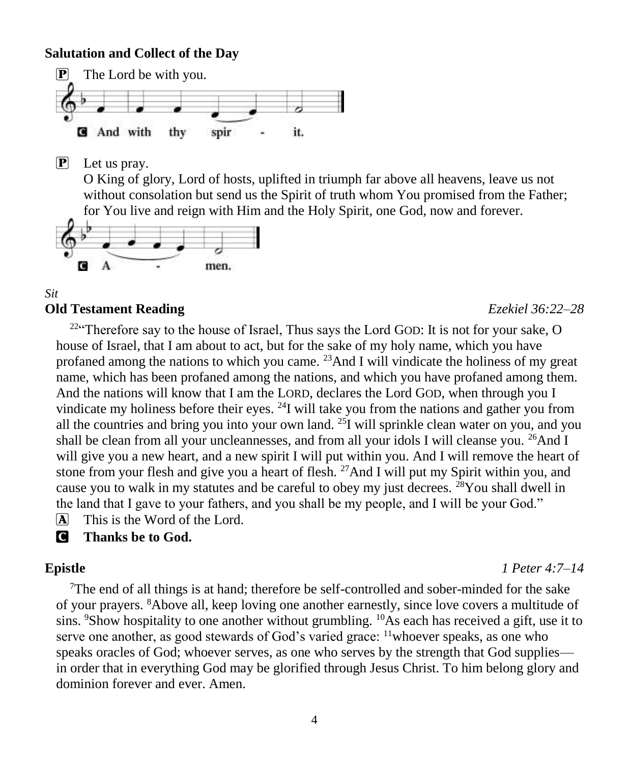### **Salutation and Collect of the Day**



P Let us pray.

O King of glory, Lord of hosts, uplifted in triumph far above all heavens, leave us not without consolation but send us the Spirit of truth whom You promised from the Father; for You live and reign with Him and the Holy Spirit, one God, now and forever.



#### *Sit* **Old Testament Reading** *Ezekiel 36:22–28*

 $2^{24}$  Therefore say to the house of Israel, Thus says the Lord GOD: It is not for your sake, O house of Israel, that I am about to act, but for the sake of my holy name, which you have profaned among the nations to which you came.  $^{23}$ And I will vindicate the holiness of my great name, which has been profaned among the nations, and which you have profaned among them. And the nations will know that I am the LORD, declares the Lord GOD, when through you I vindicate my holiness before their eyes.  $^{24}I$  will take you from the nations and gather you from all the countries and bring you into your own land. <sup>25</sup>I will sprinkle clean water on you, and you shall be clean from all your uncleannesses, and from all your idols I will cleanse you.  $^{26}$ And I will give you a new heart, and a new spirit I will put within you. And I will remove the heart of stone from your flesh and give you a heart of flesh. <sup>27</sup>And I will put my Spirit within you, and cause you to walk in my statutes and be careful to obey my just decrees. <sup>28</sup>You shall dwell in the land that I gave to your fathers, and you shall be my people, and I will be your God."

A This is the Word of the Lord.

C **Thanks be to God.**

### **Epistle** *1 Peter 4:7–14*

<sup>7</sup>The end of all things is at hand; therefore be self-controlled and sober-minded for the sake of your prayers. <sup>8</sup>Above all, keep loving one another earnestly, since love covers a multitude of sins. <sup>9</sup>Show hospitality to one another without grumbling. <sup>10</sup>As each has received a gift, use it to serve one another, as good stewards of God's varied grace: <sup>11</sup>whoever speaks, as one who speaks oracles of God; whoever serves, as one who serves by the strength that God supplies in order that in everything God may be glorified through Jesus Christ. To him belong glory and dominion forever and ever. Amen.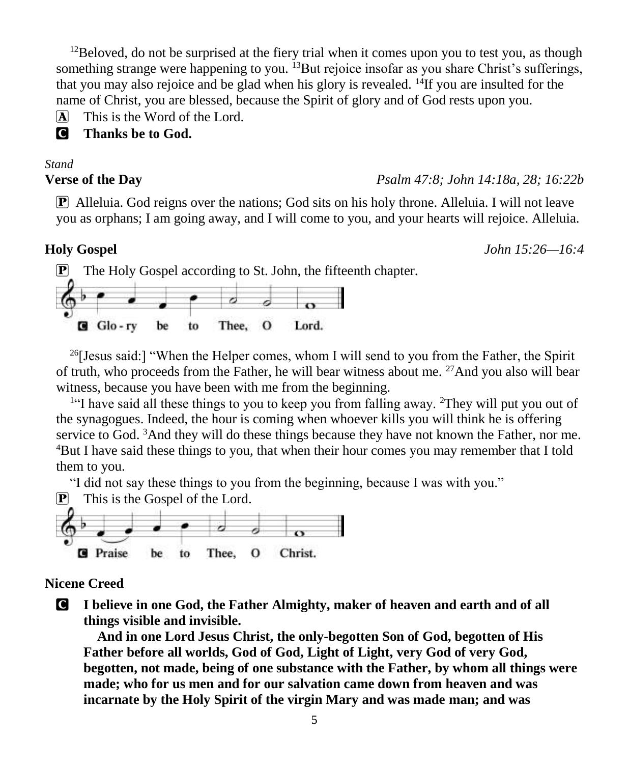$12$ Beloved, do not be surprised at the fiery trial when it comes upon you to test you, as though something strange were happening to you. <sup>13</sup>But rejoice insofar as you share Christ's sufferings, that you may also rejoice and be glad when his glory is revealed.  $^{14}$ If you are insulted for the name of Christ, you are blessed, because the Spirit of glory and of God rests upon you.

 $\overline{A}$  This is the Word of the Lord.

C **Thanks be to God.**

#### *Stand*

### **Verse of the Day** *Psalm 47:8; John 14:18a, 28; 16:22b*

P Alleluia. God reigns over the nations; God sits on his holy throne. Alleluia. I will not leave you as orphans; I am going away, and I will come to you, and your hearts will rejoice. Alleluia.

**Holy Gospel** *John 15:26—16:4*



 $^{26}$ [Jesus said:] "When the Helper comes, whom I will send to you from the Father, the Spirit of truth, who proceeds from the Father, he will bear witness about me. <sup>27</sup>And you also will bear witness, because you have been with me from the beginning.

<sup>1</sup>"I have said all these things to you to keep you from falling away. <sup>2</sup>They will put you out of the synagogues. Indeed, the hour is coming when whoever kills you will think he is offering service to God.  $3$ And they will do these things because they have not known the Father, nor me. <sup>4</sup>But I have said these things to you, that when their hour comes you may remember that I told them to you.

"I did not say these things to you from the beginning, because I was with you."

 $\mathbf{P}$  This is the Gospel of the Lord.



## **Nicene Creed**

C **I believe in one God, the Father Almighty, maker of heaven and earth and of all things visible and invisible.**

**And in one Lord Jesus Christ, the only-begotten Son of God, begotten of His Father before all worlds, God of God, Light of Light, very God of very God, begotten, not made, being of one substance with the Father, by whom all things were made; who for us men and for our salvation came down from heaven and was incarnate by the Holy Spirit of the virgin Mary and was made man; and was**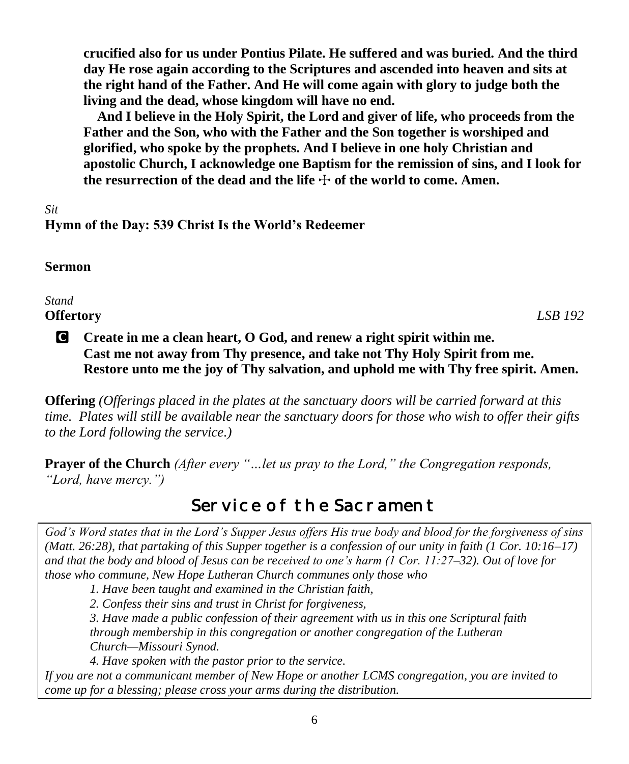**crucified also for us under Pontius Pilate. He suffered and was buried. And the third day He rose again according to the Scriptures and ascended into heaven and sits at the right hand of the Father. And He will come again with glory to judge both the living and the dead, whose kingdom will have no end.**

**And I believe in the Holy Spirit, the Lord and giver of life, who proceeds from the Father and the Son, who with the Father and the Son together is worshiped and glorified, who spoke by the prophets. And I believe in one holy Christian and apostolic Church, I acknowledge one Baptism for the remission of sins, and I look for**  the resurrection of the dead and the life  $\pm$  of the world to come. Amen.

*Sit* **Hymn of the Day: 539 Christ Is the World's Redeemer**

# **Sermon**

*Stand*

**Offertory** *LSB 192*

# C **Create in me a clean heart, O God, and renew a right spirit within me. Cast me not away from Thy presence, and take not Thy Holy Spirit from me. Restore unto me the joy of Thy salvation, and uphold me with Thy free spirit. Amen.**

**Offering** *(Offerings placed in the plates at the sanctuary doors will be carried forward at this time. Plates will still be available near the sanctuary doors for those who wish to offer their gifts to the Lord following the service.)*

**Prayer of the Church** *(After every "…let us pray to the Lord," the Congregation responds, "Lord, have mercy.")*

# Service of the Sacrament

*God's Word states that in the Lord's Supper Jesus offers His true body and blood for the forgiveness of sins (Matt. 26:28), that partaking of this Supper together is a confession of our unity in faith (1 Cor. 10:16–17) and that the body and blood of Jesus can be received to one's harm (1 Cor. 11:27–32). Out of love for those who commune, New Hope Lutheran Church communes only those who*

*1. Have been taught and examined in the Christian faith,* 

*2. Confess their sins and trust in Christ for forgiveness,* 

*3. Have made a public confession of their agreement with us in this one Scriptural faith through membership in this congregation or another congregation of the Lutheran Church—Missouri Synod.* 

*4. Have spoken with the pastor prior to the service.*

*If you are not a communicant member of New Hope or another LCMS congregation, you are invited to come up for a blessing; please cross your arms during the distribution.*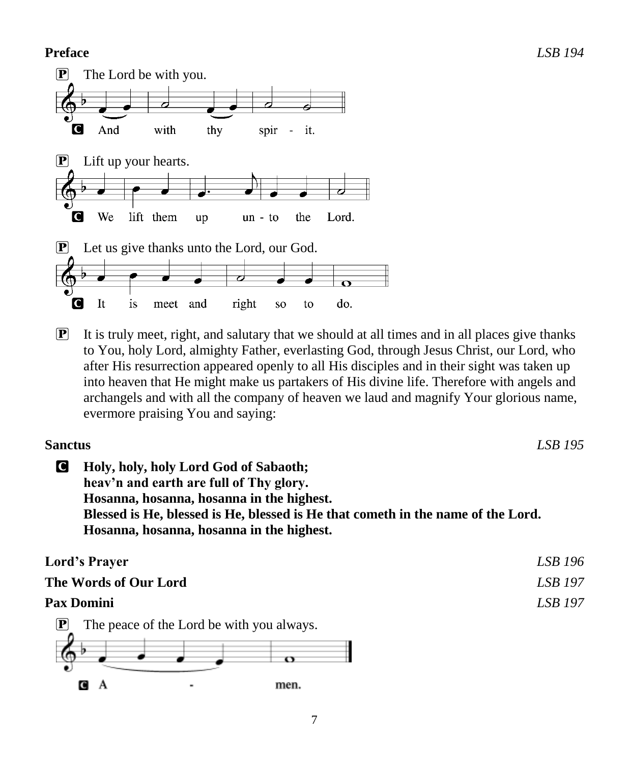## **Preface** *LSB 194*



 $\mathbf{P}$  It is truly meet, right, and salutary that we should at all times and in all places give thanks to You, holy Lord, almighty Father, everlasting God, through Jesus Christ, our Lord, who after His resurrection appeared openly to all His disciples and in their sight was taken up into heaven that He might make us partakers of His divine life. Therefore with angels and archangels and with all the company of heaven we laud and magnify Your glorious name, evermore praising You and saying:

| <b>Sanctus</b>        |                                                                                                                                                                                                                                                                | LSB 195 |
|-----------------------|----------------------------------------------------------------------------------------------------------------------------------------------------------------------------------------------------------------------------------------------------------------|---------|
| C                     | Holy, holy, holy Lord God of Sabaoth;<br>heav'n and earth are full of Thy glory.<br>Hosanna, hosanna, hosanna in the highest.<br>Blessed is He, blessed is He, blessed is He that cometh in the name of the Lord.<br>Hosanna, hosanna, hosanna in the highest. |         |
| <b>Lord's Prayer</b>  |                                                                                                                                                                                                                                                                | LSB 196 |
| The Words of Our Lord |                                                                                                                                                                                                                                                                | LSB 197 |

## **Pax Domini** *LSB 197*

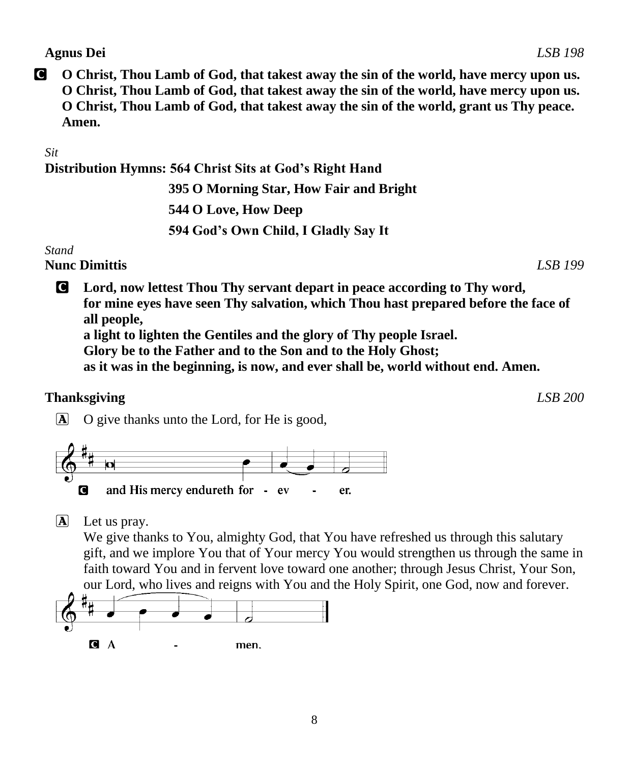### **Agnus Dei** *LSB 198*

C **O Christ, Thou Lamb of God, that takest away the sin of the world, have mercy upon us. O Christ, Thou Lamb of God, that takest away the sin of the world, have mercy upon us. O Christ, Thou Lamb of God, that takest away the sin of the world, grant us Thy peace. Amen.**

### *Sit*

**Distribution Hymns: 564 Christ Sits at God's Right Hand**

 **395 O Morning Star, How Fair and Bright 544 O Love, How Deep 594 God's Own Child, I Gladly Say It**

### *Stand*

**Nunc Dimittis** *LSB 199*

C **Lord, now lettest Thou Thy servant depart in peace according to Thy word, for mine eyes have seen Thy salvation, which Thou hast prepared before the face of all people, a light to lighten the Gentiles and the glory of Thy people Israel.**

**Glory be to the Father and to the Son and to the Holy Ghost;**

**as it was in the beginning, is now, and ever shall be, world without end. Amen.**

### **Thanksgiving** *LSB 200*

A O give thanks unto the Lord, for He is good,



 $\mathbf{\overline{A}}$  Let us pray.

We give thanks to You, almighty God, that You have refreshed us through this salutary gift, and we implore You that of Your mercy You would strengthen us through the same in faith toward You and in fervent love toward one another; through Jesus Christ, Your Son, our Lord, who lives and reigns with You and the Holy Spirit, one God, now and forever.

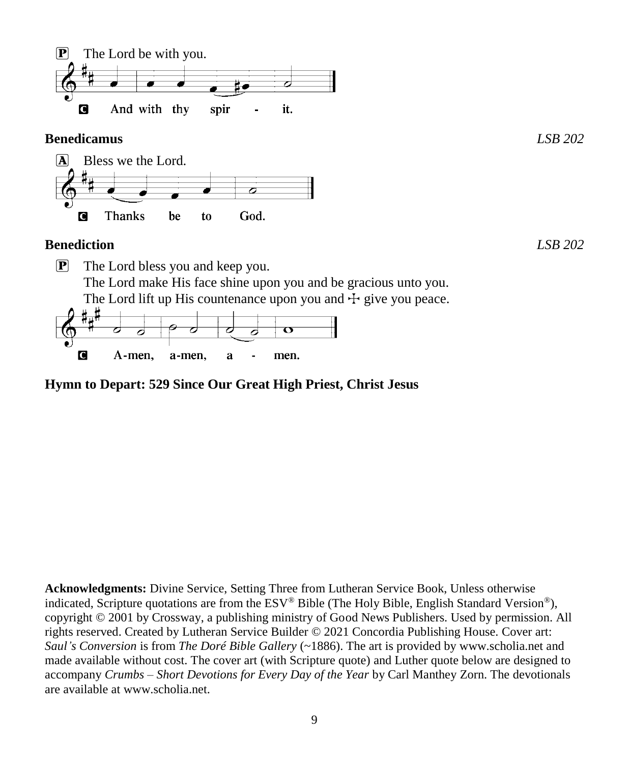

The Lord lift up His countenance upon you and  $\pm$  give you peace.



# **Hymn to Depart: 529 Since Our Great High Priest, Christ Jesus**

**Acknowledgments:** Divine Service, Setting Three from Lutheran Service Book, Unless otherwise indicated, Scripture quotations are from the ESV® Bible (The Holy Bible, English Standard Version®), copyright © 2001 by Crossway, a publishing ministry of Good News Publishers. Used by permission. All rights reserved. Created by Lutheran Service Builder © 2021 Concordia Publishing House. Cover art: *Saul's Conversion* is from *The Doré Bible Gallery* (~1886). The art is provided by www.scholia.net and made available without cost. The cover art (with Scripture quote) and Luther quote below are designed to accompany *Crumbs – Short Devotions for Every Day of the Year* by Carl Manthey Zorn. The devotionals are available at www.scholia.net.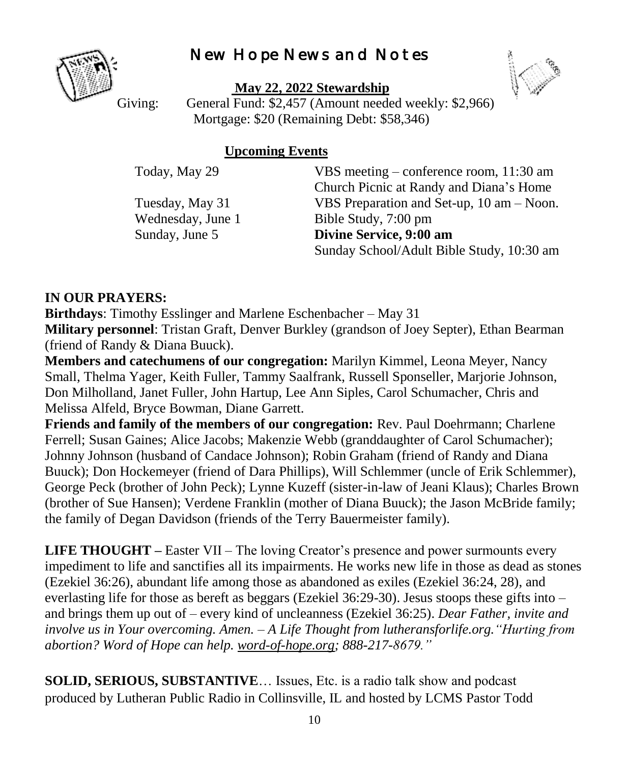# New Hope News and Notes



**May 22, 2022 Stewardship**



Giving: General Fund: \$2,457 (Amount needed weekly: \$2,966) Mortgage: \$20 (Remaining Debt: \$58,346)

# **Upcoming Events**

Today, May 29 VBS meeting – conference room, 11:30 am Church Picnic at Randy and Diana's Home Tuesday, May 31 VBS Preparation and Set-up, 10 am – Noon. Wednesday, June 1 Bible Study, 7:00 pm Sunday, June 5 **Divine Service, 9:00 am** Sunday School/Adult Bible Study, 10:30 am

# **IN OUR PRAYERS:**

**Birthdays**: Timothy Esslinger and Marlene Eschenbacher – May 31 **Military personnel**: Tristan Graft, Denver Burkley (grandson of Joey Septer), Ethan Bearman (friend of Randy & Diana Buuck).

**Members and catechumens of our congregation:** Marilyn Kimmel, Leona Meyer, Nancy Small, Thelma Yager, Keith Fuller, Tammy Saalfrank, Russell Sponseller, Marjorie Johnson, Don Milholland, Janet Fuller, John Hartup, Lee Ann Siples, Carol Schumacher, Chris and Melissa Alfeld, Bryce Bowman, Diane Garrett.

**Friends and family of the members of our congregation:** Rev. Paul Doehrmann; Charlene Ferrell; Susan Gaines; Alice Jacobs; Makenzie Webb (granddaughter of Carol Schumacher); Johnny Johnson (husband of Candace Johnson); Robin Graham (friend of Randy and Diana Buuck); Don Hockemeyer (friend of Dara Phillips), Will Schlemmer (uncle of Erik Schlemmer), George Peck (brother of John Peck); Lynne Kuzeff (sister-in-law of Jeani Klaus); Charles Brown (brother of Sue Hansen); Verdene Franklin (mother of Diana Buuck); the Jason McBride family; the family of Degan Davidson (friends of the Terry Bauermeister family).

**LIFE THOUGHT –** Easter VII – The loving Creator's presence and power surmounts every impediment to life and sanctifies all its impairments. He works new life in those as dead as stones (Ezekiel 36:26), abundant life among those as abandoned as exiles (Ezekiel 36:24, 28), and everlasting life for those as bereft as beggars (Ezekiel 36:29-30). Jesus stoops these gifts into – and brings them up out of – every kind of uncleanness (Ezekiel 36:25). *Dear Father, invite and involve us in Your overcoming. Amen. – A Life Thought from lutheransforlife.org."Hurting from abortion? Word of Hope can help. [word-of-hope.org;](https://word-of-hope.org/) 888-217-8679."*

**SOLID, SERIOUS, SUBSTANTIVE**… Issues, Etc. is a radio talk show and podcast produced by Lutheran Public Radio in Collinsville, IL and hosted by LCMS Pastor Todd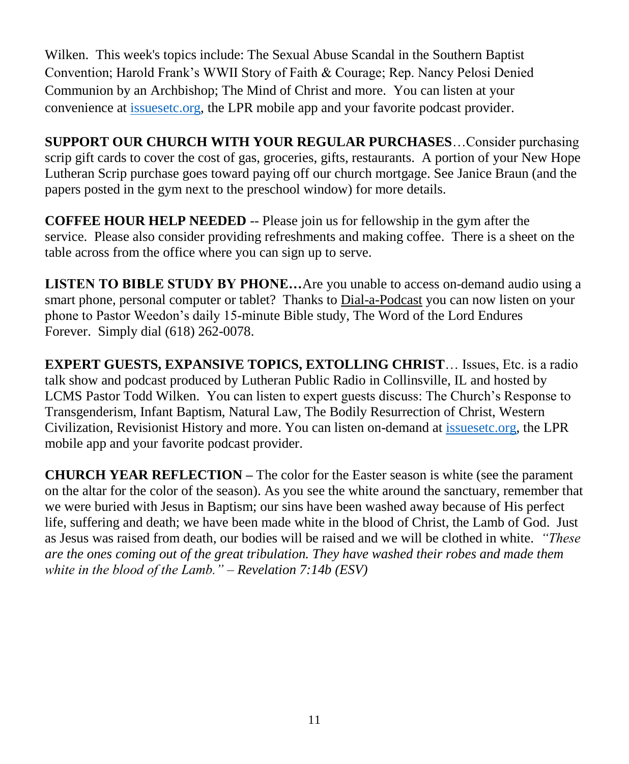Wilken. This week's topics include: The Sexual Abuse Scandal in the Southern Baptist Convention; Harold Frank's WWII Story of Faith & Courage; Rep. Nancy Pelosi Denied Communion by an Archbishop; The Mind of Christ and more. You can listen at your convenience at [issuesetc.org,](https://r20.rs6.net/tn.jsp?f=001kvpVhej7xsM_KGiKedeYJr5GkPeD376IPqjpr81ql9ibsQXo2gUjBzNcvVusK4MVA96KlR5XxTesLfoKC-pbJf0LCZZe6kcJoiT4JBf1h9Z9sHjCIS7poh5XqB8SPc87FogbPVi2hTXHh8F1h3hF5g==&c=qK6KqGN1eYnYVVj7ZyEacJQ5kMdoC37RLyanxrnhAd2HAUDybnbzTw==&ch=m38gAxl1tkQ7UXGcReQVe9FJqPVjEm-Vc_WbVB5tdNZyHIAhlk5MQA==) the LPR mobile app and your favorite podcast provider.

**SUPPORT OUR CHURCH WITH YOUR REGULAR PURCHASES**…Consider purchasing scrip gift cards to cover the cost of gas, groceries, gifts, restaurants. A portion of your New Hope Lutheran Scrip purchase goes toward paying off our church mortgage. See Janice Braun (and the papers posted in the gym next to the preschool window) for more details.

**COFFEE HOUR HELP NEEDED** -- Please join us for fellowship in the gym after the service. Please also consider providing refreshments and making coffee. There is a sheet on the table across from the office where you can sign up to serve.

**LISTEN TO BIBLE STUDY BY PHONE…**Are you unable to access on-demand audio using a smart phone, personal computer or tablet? Thanks to [Dial-a-Podcast](http://r20.rs6.net/tn.jsp?f=001IgRmcjUfRFGHkofOIn3Hk6kqQlxAMPJZ8c0-j1bae7VtP3keI7IJnzhcnxZHyRh0nbpaEcG2Yv2RdJZ_A_O2fDHdeMafD_BshgMBOBWNK9FXVrXmXTY5pQ4y2QldTevoT72P54Qr-IT0tSiAbXwNe3jNglVF7kpekderxXV8sx3ekFUAep_pWZfBcMInbtDTybO4aBrXL8JA4twNA5O4LQ==&c=lGDoYeH0slM9VckV4BWrPrKsRRXYekAMhgrV2DZKvAuMNYiSYikzkA==&ch=NyvG9aJ8N1Qa9Y3LXoOIKkmmgh07mhbNzbfoy74D4iUh8pb9jt_v6A==) you can now listen on your phone to Pastor Weedon's daily 15-minute Bible study, The Word of the Lord Endures Forever. Simply dial (618) 262-0078.

**EXPERT GUESTS, EXPANSIVE TOPICS, EXTOLLING CHRIST**… Issues, Etc. is a radio talk show and podcast produced by Lutheran Public Radio in Collinsville, IL and hosted by LCMS Pastor Todd Wilken. You can listen to expert guests discuss: The Church's Response to Transgenderism, Infant Baptism, Natural Law, The Bodily Resurrection of Christ, Western Civilization, Revisionist History and more. You can listen on-demand at [issuesetc.org,](http://r20.rs6.net/tn.jsp?f=001g7SlsRAPk5pU912WNm6KJBrkRdFr2Zhwy21R2GSFvnTWMcJnEzZJWeQOu2I9DMi_kRd4qKr3p_AB9nV6397bZE00Hhv_I-6q6OYU_RVXD3H1e-ItyQyuEoIvqB89cNLWjRWaulKP9WI13pMlrvarOA==&c=FWhHeQOmAt-umsIEaWylJ9E80dnCrg8fkxSs1He9YZjyopW5StP3EA==&ch=_ZRcMM2HFm-t3IDpBHymoIl7xssyx6-3j0kU4YN8IsN_dvAvpbP5tg==) the LPR mobile app and your favorite podcast provider.

**CHURCH YEAR REFLECTION –** The color for the Easter season is white (see the parament on the altar for the color of the season). As you see the white around the sanctuary, remember that we were buried with Jesus in Baptism; our sins have been washed away because of His perfect life, suffering and death; we have been made white in the blood of Christ, the Lamb of God. Just as Jesus was raised from death, our bodies will be raised and we will be clothed in white. *"These are the ones coming out of the great tribulation. They have washed their robes and made them white in the blood of the Lamb." – Revelation 7:14b (ESV)*